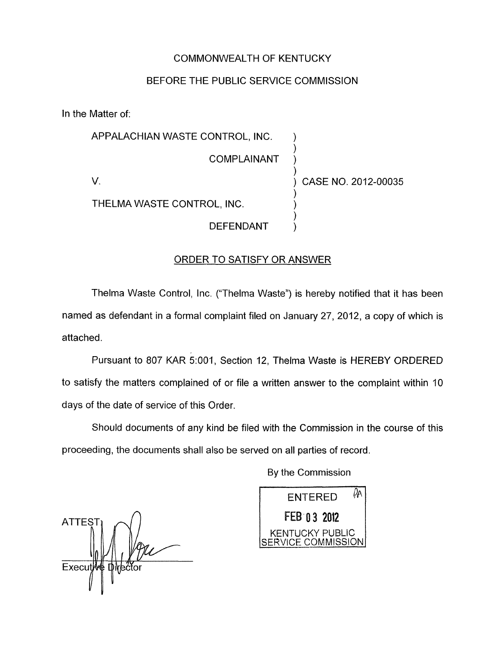## COMMONWEALTH OF KENTUCKY

## BEFORE THE PUBLIC SERVICE COMMISSION

In the Matter of:

| APPALACHIAN WASTE CONTROL, INC. |                     |
|---------------------------------|---------------------|
| COMPLAINANT                     |                     |
|                                 | CASE NO. 2012-00035 |
| THELMA WASTE CONTROL, INC.      |                     |
| DEFENDANT                       |                     |

### ORDER TO SATISFY OR ANSWER

Thelma Waste Control, Inc. ("Thelma Waste") is hereby notified that it has been named as defendant in a formal complaint filed on January 27, 2012, a copy of which is attached.

Pursuant to 807 KAR 5:001, Section 12, Thelma Waste is HEREBY ORDERED to satisfy the matters complained of or file a written answer to the complaint within 10 days of the date of service of this Order.

Should documents of any kind be filed with the Commission in the course of this proceeding, the documents shall also be served on all parties of record.

By the Commission

 $\Delta$ **ATTEST** Execut

ENTERED <sup> $\%$ </sup> FEB 03 2012 KENTUCKY PUBLIC SERVICE COMMISSION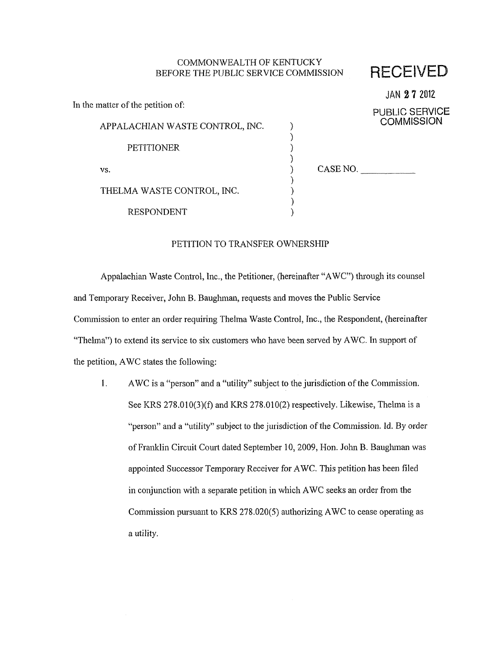#### COMMONWEALTH OF KENTUCKY BEFORE THE PUBLIC SERVICE COMMISSION RECEIVED

|                                   |          | JAN 27 2012       |
|-----------------------------------|----------|-------------------|
| In the matter of the petition of: |          | PUBLIC SERVICE    |
| APPALACHIAN WASTE CONTROL, INC.   |          | <b>COMMISSION</b> |
| <b>PETITIONER</b>                 |          |                   |
| VS.                               | CASE NO. |                   |
| THELMA WASTE CONTROL, INC.        |          |                   |
| <b>RESPONDENT</b>                 |          |                   |

#### PETITION TO TRANSFER OWNERSHIP

Appalachian Waste Control, Inc., the Petitioner, (hereinafter "AWC") through its counsel and Temporary Receiver, John B. Bauglman, requests and moves the Public Service Commission to enter an order requiring Thelma Waste Control, Inc., the Respondent, (hereinafter "Thelma") to extend its service to six customers who have been served by AWC. In support of the petition, AWC states the following:

**1.** AWC is a "person" and a "utility" subject to the jurisdiction of the Commission. See KRS  $278.010(3)(f)$  and KRS  $278.010(2)$  respectively. Likewise, Thelma is a "person" and a "utility" subject to the jurisdiction of the Commission. Id. By order of Franklin Circuit Court dated September 10, 2009, Hon. John B. Baughman was appointed Successor Temporary Receiver for AWC. This petition has been filed in conjunction with a separate petition in which AWC seeks an order from the Commission pursuant to KRS 278.020(5) authorizing AWC to cease operating as a utility.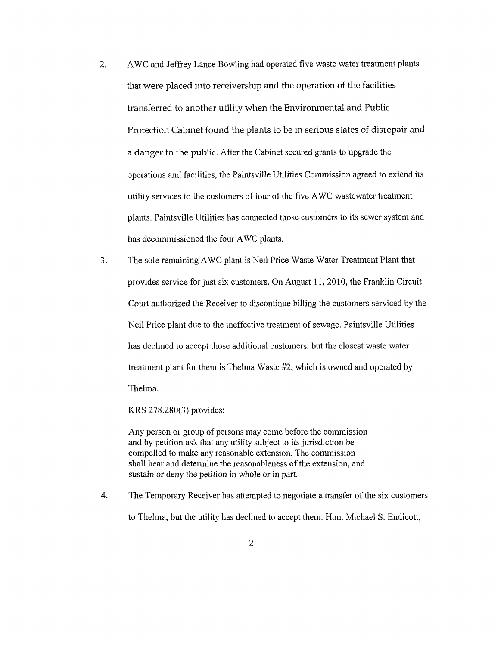- 2. AWC and Jeffrey Lance Bowling had operated five waste water treatment plants that were placed into receivership and the operation of the facilities transferred to another utility when the Environmental and Public Protection Cabinet found the plants to be in serious states of disrepair and a danger to the public. After the Cabinet secured grants to upgrade the operations and facilities, the Paintsville Utilities Commission agreed to extend its utility services to the customers of four of the five AWC wastewater treatment plants. Paintsville Utilities has connected those customers to its sewer system and has decommissioned the four AWC plants.
- *3.* The sole remaining AWC plant is Neil Price Waste Water Treatment Plant that provides service for just six customers. On August 1 1 , 20 10, the Franklin Circuit Court authorized the Receiver to discontinue billing the customers serviced by the Neil Price plant due to the ineffective treatment of sewage. Paintsville Utilities has declined to accept those additional customers, but the closest waste water treatment plant for them is Thelma Waste #2, which is owned and operated by Thelma.

KRS 278.280(3) provides:

Any person or group of persons may come before the commission and by petition ask that any utility subject to its jurisdiction be compelled to make any reasonable extension. The commission shall hear and determine the reasonableness of the extension, and sustain or deny the petition in whole or in part.

4. The Temporary Receiver has attempted to negotiate a transfer of the six customers to Thelma, but the utility has declined to accept them. Hon. Michael **S.** Endicott,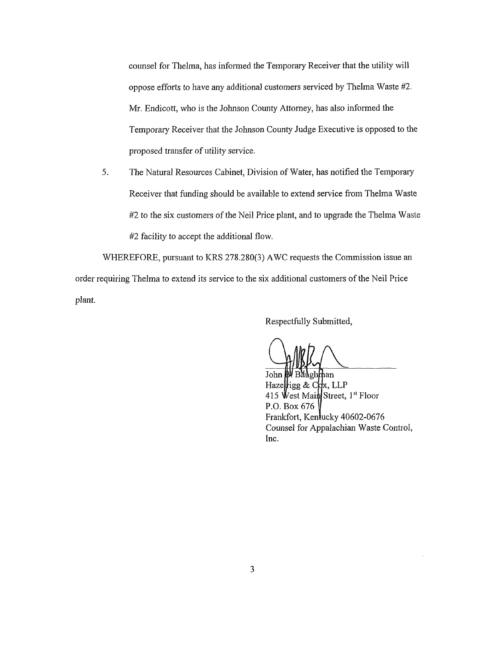counsel for Thelma, has informed the Temporary Receiver that the utility will oppose efforts to have any additional customers serviced by Thelma Waste #2. Mr. Endicott, who is the Johnson County Attorney, has also informed the Temporary Receiver that the Johnson County Judge Executive is opposed to the proposed transfer of utility service.

The Natural Resources Cabinet, Division of Water, has notified the Temporary Receiver that funding should be available to extend service from Thelma Waste #2 to the six customers of the Neil Price plant, and to upgrade the Thelma Waste *#2* facility to accept the additional flow. *5.* 

WHEREFORE, pursuant to KRS 278.280(3) AWC requests the Commission issue an order requiring Thelma to extend its service to the six additional customers of the Neil Price plant.

Respectfiilly Submitted,

John awghthan Hazelligg & Cox, LLP 415 West Main Street, 1st Floor P.O. Box 676 Frankfort, Kentucky 40602-0676 Counsel for Appalachian Waste Control, Inc.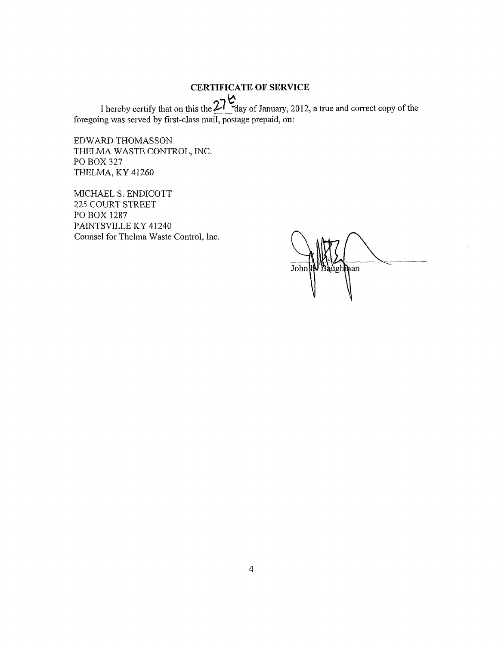# **CERTIFICATE OF SERVICE**

 $\tilde{\kappa}$ I hereby certify that on this the  $\mathcal{L}^1$  day of January, 2012, a true and correct copy of the foregoing was served by first-class mail, postage prepaid, on:

EDWARD THOMASSON THELMA WASTE CONTROL, INC. PO BOX 327 THELMA, KY 41260

MICHAEL S. ENDICOTT 225 COURT STREET PO BOX 1287 PAINTSVILLE KY 41240 Counsel for Thelma Waste Control, Inc.

3augh**m**an John